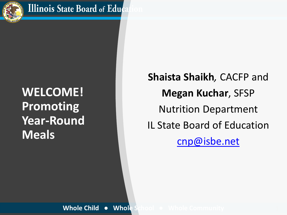

### **WELCOME! Promoting Year-Round Meals**

**Shaista Shaikh***,* CACFP and **Megan Kuchar**, SFSP Nutrition Department IL State Board of Education [cnp@isbe.net](mailto:cnp@isbe.net)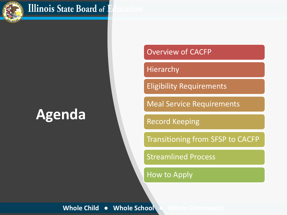

#### **Illinois State Board of 1**

### **Agenda**

#### Overview of CACFP

#### Hierarchy

Eligibility Requirements

Meal Service Requirements

Record Keeping

Transitioning from SFSP to CACFP

**Streamlined Process** 

How to Apply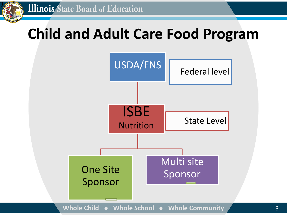

3

### **Child and Adult Care Food Program**

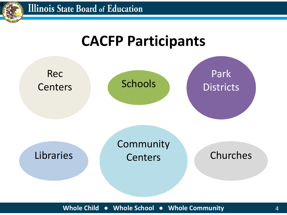

### **CACFP Participants**

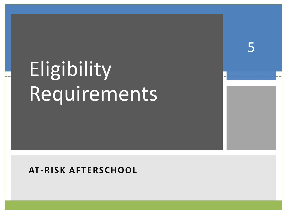# Eligibility Requirements

5

#### **AT-RISK AFTERSCHOOL**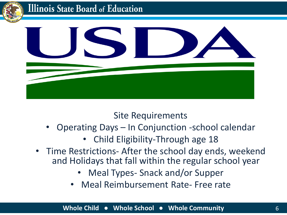



Site Requirements

- Operating Days In Conjunction -school calendar
	- Child Eligibility-Through age 18
- Time Restrictions- After the school day ends, weekend and Holidays that fall within the regular school year
	- Meal Types- Snack and/or Supper
	- Meal Reimbursement Rate- Free rate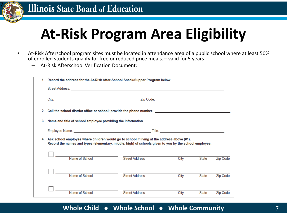

### **At-Risk Program Area Eligibility**

- At-Risk Afterschool program sites must be located in attendance area of a public school where at least 50% of enrolled students qualify for free or reduced price meals. – valid for 5 years
	- At-Risk Afterschool Verification Document:

|                                                                                                                                                                                                        | 1. Record the address for the At-Risk After-School Snack/Supper Program below.                      |                       |      |              |                 |
|--------------------------------------------------------------------------------------------------------------------------------------------------------------------------------------------------------|-----------------------------------------------------------------------------------------------------|-----------------------|------|--------------|-----------------|
|                                                                                                                                                                                                        |                                                                                                     |                       |      |              |                 |
|                                                                                                                                                                                                        |                                                                                                     |                       |      |              |                 |
| 2.                                                                                                                                                                                                     | Call the school district office or school; provide the phone number. ______________________________ |                       |      |              |                 |
|                                                                                                                                                                                                        | Name and title of school employee providing the information.<br>3.                                  |                       |      |              |                 |
|                                                                                                                                                                                                        |                                                                                                     |                       |      |              |                 |
| 4. Ask school employee where children would go to school if living at the address above (#1).<br>Record the names and types (elementary, middle, high) of schools given to you by the school employee. |                                                                                                     |                       |      |              |                 |
|                                                                                                                                                                                                        | Name of School                                                                                      | <b>Street Address</b> | City | <b>State</b> | <b>Zip Code</b> |
|                                                                                                                                                                                                        | Name of School                                                                                      | <b>Street Address</b> | City | <b>State</b> | <b>Zip Code</b> |
|                                                                                                                                                                                                        | Name of School                                                                                      | <b>Street Address</b> | City | <b>State</b> | <b>Zip Code</b> |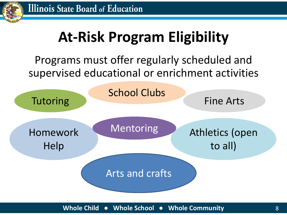

## **At-Risk Program Eligibility**

### Programs must offer regularly scheduled and supervised educational or enrichment activities

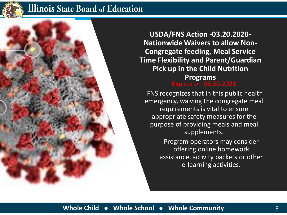

#### **Illinois State Board of Education**

Expires on 06.30.2021 **USDA/FNS Action -03.20.2020- Nationwide Waivers to allow Non-Congregate feeding, Meal Service Time Flexibility and Parent/Guardian Pick up in the Child Nutrition Programs** 

FNS recognizes that in this public health emergency, waiving the congregate meal requirements is vital to ensure appropriate safety measures for the purpose of providing meals and meal supplements.

Program operators may consider offering online homework assistance, activity packets or other e-learning activities.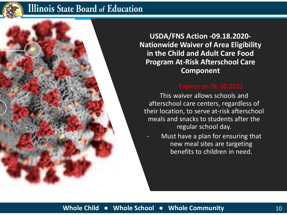

#### **Illinois State Board of Education**

**USDA/FNS Action -09.18.2020- Nationwide Waiver of Area Eligibility in the Child and Adult Care Food Program At-Risk Afterschool Care Component**

This waiver allows schools and afterschool care centers, regardless of their location, to serve at-risk afterschool meals and snacks to students after the regular school day.

Must have a plan for ensuring that new meal sites are targeting benefits to children in need.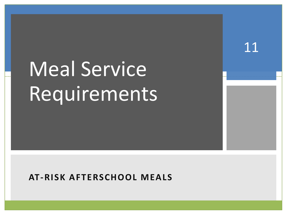# Meal Service Requirements

11

#### **AT-RISK AFTERSCHOOL MEALS**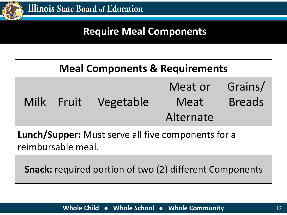

### **Require Meal Components**

### **Meal Components & Requirements**

|  | Milk Fruit Vegetable | Meat or Grains/<br>Meat | <b>Breads</b> |
|--|----------------------|-------------------------|---------------|
|  |                      | Alternate               |               |

**Lunch/Supper:** Must serve all five components for a reimbursable meal.

**Snack:** required portion of two (2) different Components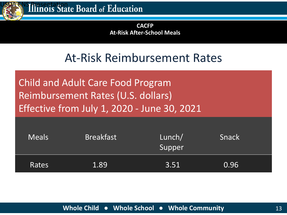

**CACFP At-Risk After-School Meals**

### At-Risk Reimbursement Rates

Child and Adult Care Food Program Reimbursement Rates (U.S. dollars) Effective from July 1, 2020 - June 30, 2021

| <b>Meals</b> | <b>Breakfast</b> | Lunch/<br>Supper | Snack              |  |
|--------------|------------------|------------------|--------------------|--|
| Rates        | $1.89^\dagger$   | 3.51             | $\vert 0.96 \vert$ |  |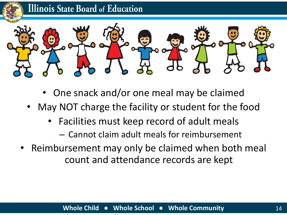



- One snack and/or one meal may be claimed
- May NOT charge the facility or student for the food
	- Facilities must keep record of adult meals
		- Cannot claim adult meals for reimbursement
- Reimbursement may only be claimed when both meal count and attendance records are kept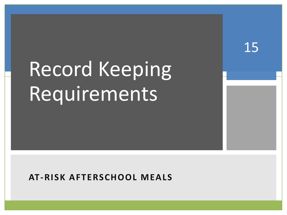# Record Keeping Requirements

15

#### **AT-RISK AFTERSCHOOL MEALS**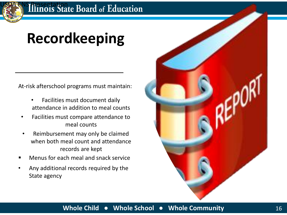

### **Recordkeeping**

At-risk afterschool programs must maintain:

- Facilities must document daily attendance in addition to meal counts
- Facilities must compare attendance to meal counts
- Reimbursement may only be claimed when both meal count and attendance records are kept
- Menus for each meal and snack service
- Any additional records required by the State agency

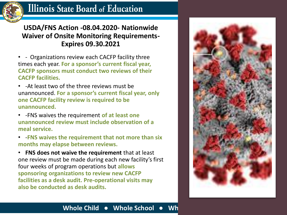

#### **Illinois State Board of Education**

#### **USDA/FNS Action -08.04.2020- Nationwide Waiver of Onsite Monitoring Requirements-Expires 09.30.2021**

- - Organizations review each CACFP facility three times each year. **For a sponsor's current fiscal year, CACFP sponsors must conduct two reviews of their CACFP facilities.**
- -At least two of the three reviews must be unannounced. **For a sponsor's current fiscal year, only one CACFP facility review is required to be unannounced.**
- -FNS waives the requirement **of at least one unannounced review must include observation of a meal service.**
- -**FNS waives the requirement that not more than six months may elapse between reviews.**

• **FNS does not waive the requirement** that at least one review must be made during each new facility's first four weeks of program operations but **allows sponsoring organizations to review new CACFP facilities as a desk audit. Pre-operational visits may also be conducted as desk audits.**



#### **Whole Child • Whole School • Whole**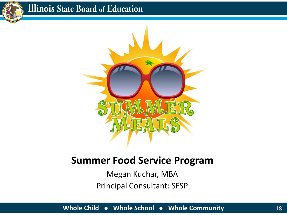

### **Illinois State Board of Education**



### **Summer Food Service Program**

Megan Kuchar, MBA Principal Consultant: SFSP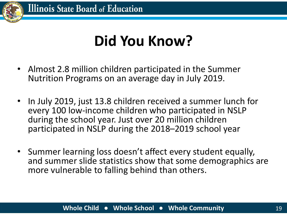

### **Did You Know?**

- Almost 2.8 million children participated in the Summer Nutrition Programs on an average day in July 2019.
- In July 2019, just 13.8 children received a summer lunch for every 100 low-income children who participated in NSLP during the school year. Just over 20 million children participated in NSLP during the 2018–2019 school year
- Summer learning loss doesn't affect every student equally, and summer slide statistics show that some demographics are more vulnerable to falling behind than others.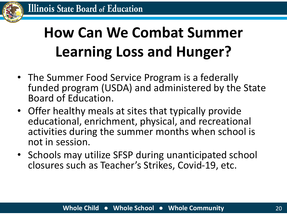

## **How Can We Combat Summer Learning Loss and Hunger?**

- The Summer Food Service Program is a federally funded program (USDA) and administered by the State Board of Education.
- Offer healthy meals at sites that typically provide educational, enrichment, physical, and recreational activities during the summer months when school is not in session.
- Schools may utilize SFSP during unanticipated school closures such as Teacher's Strikes, Covid-19, etc.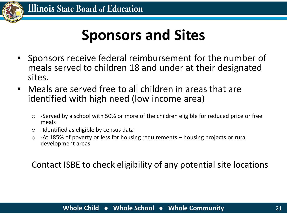

### **Sponsors and Sites**

- Sponsors receive federal reimbursement for the number of meals served to children 18 and under at their designated sites.
- Meals are served free to all children in areas that are identified with high need (low income area)
	- o -Served by a school with 50% or more of the children eligible for reduced price or free meals
	- o -Identified as eligible by census data
	- $\circ$  -At 185% of poverty or less for housing requirements housing projects or rural development areas

Contact ISBE to check eligibility of any potential site locations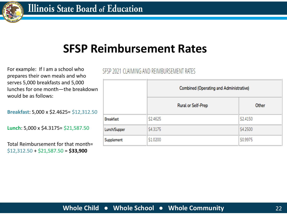

### **SFSP Reimbursement Rates**

For example: If I am a school who prepares their own meals and who serves 5,000 breakfasts and 5,000 lunches for one month—the breakdown would be as follows:

**Breakfast**: 5,000 x \$2.4625= \$12,312.50

**Lunch**: 5,000 x \$4.3175= \$21,587.50

Total Reimbursement for that month= \$12,312.50 + \$21,587.50 = **\$33,900**

#### SESP 2021 CLAIMING AND REIMBURSEMENT RATES

|                  | <b>Combined (Operating and Administrative)</b> |          |  |
|------------------|------------------------------------------------|----------|--|
|                  | Rural or Self-Prep                             | Other    |  |
| <b>Breakfast</b> | \$2.4625                                       | \$2.4150 |  |
| Lunch/Supper     | \$4.3175                                       | \$4.2500 |  |
| Supplement       | \$1.0200                                       | \$0.9975 |  |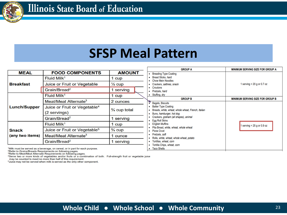

### **SFSP Meal Pattern**

| <b>MEAL</b>         | <b>FOOD COMPONENTS</b>                   | <b>AMOUNT</b>     |  |
|---------------------|------------------------------------------|-------------------|--|
|                     | Fluid Milk <sup>1</sup>                  | 1 cup             |  |
| <b>Breakfast</b>    | Juice or Fruit or Vegetable              | $\frac{1}{2}$ cup |  |
|                     | Grain/Bread <sup>2</sup>                 | 1 serving         |  |
|                     | Fluid Milk <sup>1</sup>                  | 1 cup             |  |
|                     | Meat/Meat Alternate <sup>3</sup>         | 2 ounces          |  |
| <b>Lunch/Supper</b> | Juice or Fruit or Vegetable <sup>4</sup> | 3/4 cup total     |  |
|                     | (2 servings)                             |                   |  |
|                     | Grain/Bread <sup>2</sup>                 | 1 serving         |  |
|                     | Fluid Milk <sup>1</sup>                  | 1 cup             |  |
| <b>Snack</b>        | Juice or Fruit or Vegetable <sup>5</sup> | $\frac{3}{4}$ cup |  |
| (any two items)     | Meat/Meat Alternate <sup>3</sup>         | 1 ounce           |  |
|                     | Grain/Bread <sup>2</sup>                 | 1 serving         |  |

| <b>GROUP A</b>                                                                                                                                                                                                                                                                                                                                                                                                                                                                                        | <b>MINIMUM SERVING SIZE FOR GROUP A</b> |
|-------------------------------------------------------------------------------------------------------------------------------------------------------------------------------------------------------------------------------------------------------------------------------------------------------------------------------------------------------------------------------------------------------------------------------------------------------------------------------------------------------|-----------------------------------------|
| <b>Breading Type Coating</b><br>٠<br><b>Bread Sticks, hard</b><br>٠<br><b>Chow Mein Noodles</b><br>٠<br>Crackers, saltines, snack<br>٠<br>Croutons<br>٠<br>Pretzels, hard<br>٠<br>Stuffing, dry<br>٠                                                                                                                                                                                                                                                                                                  | 1 serving = $20$ g or 0.7 oz            |
| <b>GROUP B</b>                                                                                                                                                                                                                                                                                                                                                                                                                                                                                        | <b>MINIMUM SERVING SIZE FOR GROUP B</b> |
| ¥.<br><b>Bagels, Biscuits</b><br><b>Batter Type Coating</b><br>Breads, white, wheat, whole wheat, French, Italian<br>٠<br>Buns, hamburger, hot dog<br>٠<br>Crackers, graham (all shapes), animal<br>٠<br>Egg Roll Skins<br>٠<br><b>English Muffins</b><br>٠<br>Pita Bread, white, wheat, whole wheat<br>٠<br><b>Pizza Crust</b><br>٠<br>Pretzels, soft<br>٠<br>Rolls, white, wheat, whole wheat, potato<br>٠<br>Tortillas, wheat, corn<br>٠<br>Tortilla Chips, wheat, corn<br>۰<br><b>Taco Shells</b> | 1 serving = $25$ g or 0.9 oz            |

<sup>1</sup>Milk must be served as a beverage, on cereal, or in part for each purpose.

<sup>2</sup>Refer to Grains/Breads Requirements on following pages.

<sup>3</sup>Refer to Meat/Meat Alternate Requirements on following pages.

<sup>4</sup>Serve two or more kinds of vegetables and/or fruits or a combination of both. Full-strength fruit or vegetable juice

may be counted to meet no more than half of this requirement.

<sup>5</sup>Juice may not be served when milk is served as the only other component.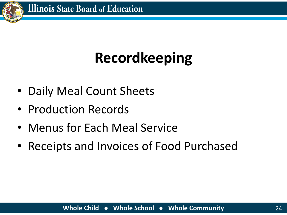

# **Recordkeeping**

- Daily Meal Count Sheets
- Production Records
- Menus for Each Meal Service
- Receipts and Invoices of Food Purchased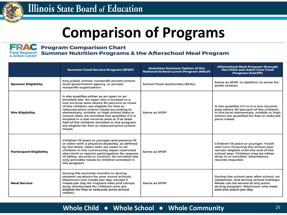

### **Comparison of Programs**

#### FRAC ood Research<br>Action Center

#### **Program Comparison Chart Summer Nutrition Programs & the Afterschool Meal Program**

|                                | <b>Summer Food Service Program (SFSP)</b>                                                                                                                                                                                                                                                                                                                                                                                                                                             | <b>Seamless Summer Option of the</b><br><b>National School Lunch Program (NSLP)</b> | <b>Afterschool Meal Program through</b><br>the Child and Adult Care Food<br><b>Program (CACFP)</b>                                                                                                               |
|--------------------------------|---------------------------------------------------------------------------------------------------------------------------------------------------------------------------------------------------------------------------------------------------------------------------------------------------------------------------------------------------------------------------------------------------------------------------------------------------------------------------------------|-------------------------------------------------------------------------------------|------------------------------------------------------------------------------------------------------------------------------------------------------------------------------------------------------------------|
| <b>Sponsor Eligibility</b>     | Any public school, nonprofit private school,<br>local government agency, or private<br>nonprofit organization.                                                                                                                                                                                                                                                                                                                                                                        | <b>School Food Authorities (SFAs)</b>                                               | Same as SFSP, in addition to some for-<br>profit entities.                                                                                                                                                       |
| <b>Site Eligibility</b>        | A site qualifies either as an open or an<br>enrolled site. An open site is located in a<br>low-income area where 50 percent or more<br>of the children are eligible for free or<br>reduced-price school meals according to<br>elementary, middle, or high school data or<br>census data. An enrolled site qualifies if it is<br>located in a low-income area or if at least<br>half of the children enrolled in the program<br>are eligible for free or reduced-price school<br>meals | Same as SFSP.                                                                       | A site qualifies if it is in a low-income<br>area where 50 percent of the children<br>in the local elementary, middle or high<br>school are qualified for free or reduced<br>price meals.                        |
| <b>Participant Eligibility</b> | Children 18 years or younger and persons 19<br>or older with a physical disability, as defined<br>by the State. Open sites are open to all<br>children in the community (open restricted<br>sites limit or restrict participation for reasons<br>of safety, security or control). An enrolled site<br>only provides meals to children enrolled in<br>the program.                                                                                                                     | Same as SESP                                                                        | Children 18 years or younger. Youth<br>who turn 19 during the school year<br>remain eligible until the end of the<br>school year. Children may be either<br>drop-in or enrolled. Attendance<br>records required. |
| <b>Meal Service</b>            | During the summer months or during<br>student vacations for year round schools.<br>Maximum two meals per day, except 3<br>meals per day for migrant sites and camps<br>(only reimbursed for children who are<br>eligible for free or reduced-price school<br>meals)                                                                                                                                                                                                                   | Same as SESP                                                                        | During the school year after school, on<br>weekends, and during school holidays.<br>Meals can be served at any point<br>during program. Maximum one meal<br>and one snack per day.                               |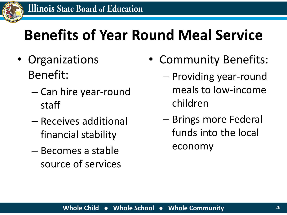

### **Benefits of Year Round Meal Service**

- Organizations Benefit:
	- Can hire year-round staff
	- Receives additional financial stability
	- Becomes a stable source of services
- Community Benefits:
	- Providing year-round meals to low-income children
	- Brings more Federal funds into the local economy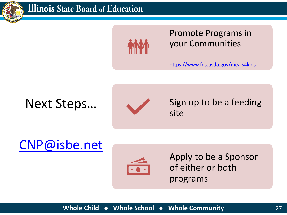

#### **Illinois State Board of Education**



Promote Programs in your Communities

<https://www.fns.usda.gov/meals4kids>

### Next Steps…



Sign up to be a feeding site

### [CNP@isbe.net](mailto:CNP@isbe.net)



Apply to be a Sponsor of either or both programs